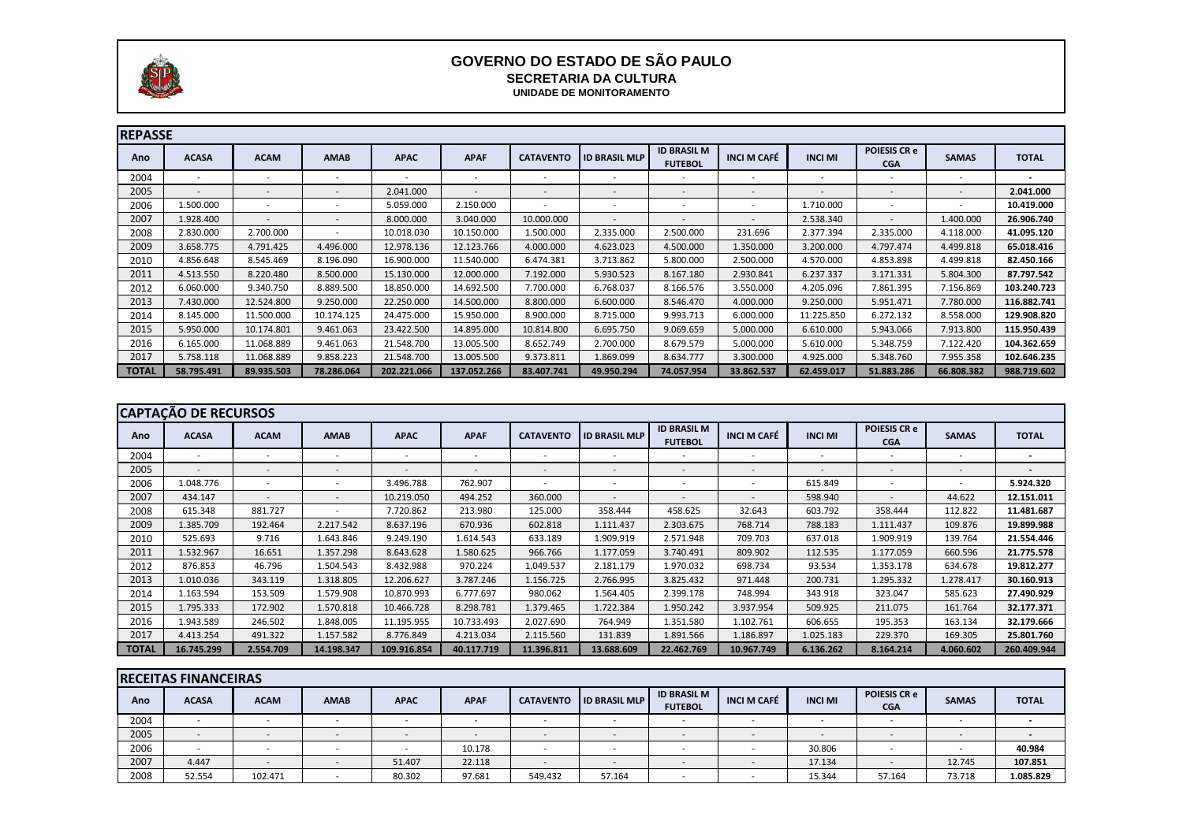| <b>REPASSE</b> |                          |                          |                          |                          |             |                  |                      |                                      |                          |                          |                                   |                          |              |
|----------------|--------------------------|--------------------------|--------------------------|--------------------------|-------------|------------------|----------------------|--------------------------------------|--------------------------|--------------------------|-----------------------------------|--------------------------|--------------|
| Ano            | <b>ACASA</b>             | <b>ACAM</b>              | <b>AMAB</b>              | <b>APAC</b>              | <b>APAF</b> | <b>CATAVENTO</b> | <b>ID BRASIL MLP</b> | <b>ID BRASIL M</b><br><b>FUTEBOL</b> | <b>INCI M CAFÉ</b>       | <b>INCI MI</b>           | <b>POIESIS CR e</b><br><b>CGA</b> | <b>SAMAS</b>             | <b>TOTAL</b> |
| 2004           |                          | $\overline{\phantom{0}}$ | $\overline{\phantom{0}}$ | $\overline{\phantom{0}}$ |             |                  |                      |                                      |                          |                          |                                   |                          |              |
| 2005           | $\overline{\phantom{a}}$ | $\overline{\phantom{a}}$ | $\overline{\phantom{a}}$ | 2.041.000                | $\sim$      |                  |                      |                                      |                          | $\overline{\phantom{a}}$ | $\overline{\phantom{a}}$          | $\overline{\phantom{a}}$ | 2.041.000    |
| 2006           | L.500.000                | $\overline{\phantom{a}}$ | $\overline{\phantom{a}}$ | 5.059.000                | 2.150.000   |                  |                      |                                      | $\overline{\phantom{a}}$ | 1.710.000                | $\overline{\phantom{a}}$          | $\overline{\phantom{0}}$ | 10.419.000   |
| 2007           | 1.928.400                | $\overline{\phantom{a}}$ | $\overline{\phantom{a}}$ | 8.000.000                | 3.040.000   | 10.000.000       |                      |                                      | $\overline{\phantom{0}}$ | 2.538.340                | $\overline{\phantom{a}}$          | 1.400.000                | 26.906.740   |
| 2008           | 2.830.000                | 2.700.000                | $\overline{\phantom{a}}$ | 10.018.030               | 10.150.000  | 1.500.000        | 2.335.000            | 2.500.000                            | 231.696                  | 2.377.394                | 2.335.000                         | 4.118.000                | 41.095.120   |
| 2009           | 3.658.775                | 4.791.425                | 4.496.000                | 12.978.136               | 12.123.766  | 4.000.000        | 4.623.023            | 4.500.000                            | 1.350.000                | 3.200.000                | 4.797.474                         | 4.499.818                | 65.018.416   |
| 2010           | 4.856.648                | 8.545.469                | 8.196.090                | 16.900.000               | 11.540.000  | 6.474.381        | 3.713.862            | 5.800.000                            | 2.500.000                | 4.570.000                | 4.853.898                         | 4.499.818                | 82.450.166   |
| 2011           | 4.513.550                | 8.220.480                | 8.500.000                | 15.130.000               | 12.000.000  | 7.192.000        | 5.930.523            | 8.167.180                            | 2.930.841                | 6.237.337                | 3.171.331                         | 5.804.300                | 87.797.542   |
| 2012           | 6.060.000                | 9.340.750                | 8.889.500                | 18.850.000               | 14.692.500  | 7.700.000        | 6.768.037            | 8.166.576                            | 3.550.000                | 4.205.096                | 7.861.395                         | 7.156.869                | 103.240.723  |
| 2013           | 7.430.000                | 12.524.800               | 9.250.000                | 22.250.000               | 14.500.000  | 8.800.000        | 6.600.000            | 8.546.470                            | 4.000.000                | 9.250.000                | 5.951.471                         | 7.780.000                | 116.882.741  |
| 2014           | 8.145.000                | 11.500.000               | 10.174.125               | 24.475.000               | 15.950.000  | 8.900.000        | 8.715.000            | 9.993.713                            | 6.000.000                | 11.225.850               | 6.272.132                         | 8.558.000                | 129.908.820  |
| 2015           | 5.950.000                | 10.174.801               | 9.461.063                | 23.422.500               | 14.895.000  | 10.814.800       | 6.695.750            | 9.069.659                            | 5.000.000                | 6.610.000                | 5.943.066                         | 7.913.800                | 115.950.439  |
| 2016           | 6.165.000                | 11.068.889               | 9.461.063                | 21.548.700               | 13.005.500  | 8.652.749        | 2.700.000            | 8.679.579                            | 5.000.000                | 5.610.000                | 5.348.759                         | 7.122.420                | 104.362.659  |
| 2017           | 5.758.118                | 11.068.889               | 9.858.223                | 21.548.700               | 13.005.500  | 9.373.811        | 1.869.099            | 8.634.777                            | 3.300.000                | 4.925.000                | 5.348.760                         | 7.955.358                | 102.646.235  |
| <b>TOTAL</b>   | 58.795.491               | 89.935.503               | 78.286.064               | 202.221.066              | 137.052.266 | 83.407.741       | 49.950.294           | 74.057.954                           | 33.862.537               | 62.459.017               | 51.883.286                        | 66.808.382               | 988.719.602  |

|              | <b>CAPTAÇÃO DE RECURSOS</b> |                          |                              |             |                          |                  |                      |                                      |                              |                |                                   |                          |              |
|--------------|-----------------------------|--------------------------|------------------------------|-------------|--------------------------|------------------|----------------------|--------------------------------------|------------------------------|----------------|-----------------------------------|--------------------------|--------------|
| Ano          | <b>ACASA</b>                | <b>ACAM</b>              | <b>AMAB</b>                  | <b>APAC</b> | <b>APAF</b>              | <b>CATAVENTO</b> | <b>ID BRASIL MLP</b> | <b>ID BRASIL M</b><br><b>FUTEBOL</b> | <b>INCI M CAFÉ</b>           | <b>INCI MI</b> | <b>POIESIS CR e</b><br><b>CGA</b> | <b>SAMAS</b>             | <b>TOTAL</b> |
| 2004         | $\overline{\phantom{a}}$    | $\overline{\phantom{a}}$ | $\overline{\phantom{a}}$     |             | $\overline{\phantom{0}}$ |                  |                      |                                      | $\overline{\phantom{a}}$     |                |                                   |                          |              |
| 2005         | $\overline{\phantom{a}}$    | $\overline{\phantom{a}}$ | $\overline{\phantom{0}}$     |             |                          |                  |                      | $\overline{\phantom{a}}$             | $\overline{\phantom{a}}$     |                |                                   | $\overline{\phantom{0}}$ |              |
| 2006         | 1.048.776                   |                          | $\overline{\phantom{a}}$     | 3.496.788   | 762.907                  |                  |                      | $\overline{\phantom{0}}$             | $\qquad \qquad \blacksquare$ | 615.849        |                                   | $\overline{\phantom{0}}$ | 5.924.320    |
| 2007         | 434.147                     |                          | $\qquad \qquad \blacksquare$ | 10.219.050  | 494.252                  | 360.000          |                      | $\overline{\phantom{a}}$             | $\overline{\phantom{a}}$     | 598.940        |                                   | 44.622                   | 12.151.011   |
| 2008         | 615.348                     | 881.727                  | $\overline{\phantom{a}}$     | 7.720.862   | 213.980                  | 125.000          | 358.444              | 458.625                              | 32.643                       | 603.792        | 358.444                           | 112.822                  | 11.481.687   |
| 2009         | L.385.709                   | 192.464                  | 2.217.542                    | 8.637.196   | 670.936                  | 602.818          | 1.111.437            | 2.303.675                            | 768.714                      | 788.183        | 1.111.437                         | 109.876                  | 19.899.988   |
| 2010         | 525.693                     | 9.716                    | 1.643.846                    | 9.249.190   | 1.614.543                | 633.189          | 1.909.919            | 2.571.948                            | 709.703                      | 637.018        | 1.909.919                         | 139.764                  | 21.554.446   |
| 2011         | 1.532.967                   | 16.651                   | 1.357.298                    | 8.643.628   | 1.580.625                | 966.766          | 1.177.059            | 3.740.491                            | 809.902                      | 112.535        | 1.177.059                         | 660.596                  | 21.775.578   |
| 2012         | 876.853                     | 46.796                   | 1.504.543                    | 8.432.988   | 970.224                  | 1.049.537        | 2.181.179            | 1.970.032                            | 698.734                      | 93.534         | 1.353.178                         | 634.678                  | 19.812.277   |
| 2013         | 1.010.036                   | 343.119                  | 1.318.805                    | 12.206.627  | 3.787.246                | 1.156.725        | 2.766.995            | 3.825.432                            | 971.448                      | 200.731        | 1.295.332                         | 1.278.417                | 30.160.913   |
| 2014         | 1.163.594                   | 153.509                  | 1.579.908                    | 10.870.993  | 6.777.697                | 980.062          | 1.564.405            | 2.399.178                            | 748.994                      | 343.918        | 323.047                           | 585.623                  | 27.490.929   |
| 2015         | 1.795.333                   | 172.902                  | 1.570.818                    | 10.466.728  | 8.298.781                | 1.379.465        | 1.722.384            | 1.950.242                            | 3.937.954                    | 509.925        | 211.075                           | 161.764                  | 32.177.371   |
| 2016         | 1.943.589                   | 246.502                  | 1.848.005                    | 11.195.955  | 10.733.493               | 2.027.690        | 764.949              | 1.351.580                            | 1.102.761                    | 606.655        | 195.353                           | 163.134                  | 32.179.666   |
| 2017         | 4.413.254                   | 491.322                  | 1.157.582                    | 8.776.849   | 4.213.034                | 2.115.560        | 131.839              | 1.891.566                            | 1.186.897                    | 1.025.183      | 229.370                           | 169.305                  | 25.801.760   |
| <b>TOTAL</b> | 16.745.299                  | 2.554.709                | 14.198.347                   | 109.916.854 | 40.117.719               | 11.396.811       | 13.688.609           | 22.462.769                           | 10.967.749                   | 6.136.262      | 8.164.214                         | 4.060.602                | 260.409.944  |

|      | <b>RECEITAS FINANCEIRAS</b> |             |                          |             |                          |                  |                      |                                      |                          |                |                                   |              |              |
|------|-----------------------------|-------------|--------------------------|-------------|--------------------------|------------------|----------------------|--------------------------------------|--------------------------|----------------|-----------------------------------|--------------|--------------|
| Ano  | <b>ACASA</b>                | <b>ACAM</b> | <b>AMAB</b>              | <b>APAC</b> | <b>APAF</b>              | <b>CATAVENTO</b> | <b>ID BRASIL MLP</b> | <b>ID BRASIL M</b><br><b>FUTEBOL</b> | <b>INCI M CAFÉ</b>       | <b>INCI MI</b> | <b>POIESIS CR e</b><br><b>CGA</b> | <b>SAMAS</b> | <b>TOTAL</b> |
| 2004 | $\overline{\phantom{0}}$    |             | $\overline{\phantom{0}}$ |             | $\overline{\phantom{a}}$ |                  |                      |                                      | $\overline{\phantom{a}}$ |                | $\overline{\phantom{0}}$          |              |              |
| 2005 | $\overline{\phantom{0}}$    |             | $\overline{\phantom{0}}$ |             | $\overline{\phantom{0}}$ |                  |                      |                                      | $\overline{\phantom{a}}$ |                |                                   |              |              |
| 2006 | $\overline{\phantom{0}}$    |             | $\overline{\phantom{0}}$ |             | 10.178                   |                  |                      |                                      | -                        | 30.806         | $\overline{\phantom{0}}$          |              | 40.984       |
| 2007 | 4.447                       |             |                          | 51.407      | 22.118                   |                  |                      |                                      |                          | 17.134         |                                   | 12.745       | 107.851      |
| 2008 | 52.554                      | 102.471     | $\overline{\phantom{0}}$ | 80.302      | 97.681                   | 549.432          | 57.164               |                                      | $\overline{\phantom{0}}$ | 15.344         | 57.164                            | 73.718       | 1.085.829    |



## **GOVERNO DO ESTADO DE SÃO PAULO SECRETARIA DA CULTURA UNIDADE DE MONITORAMENTO**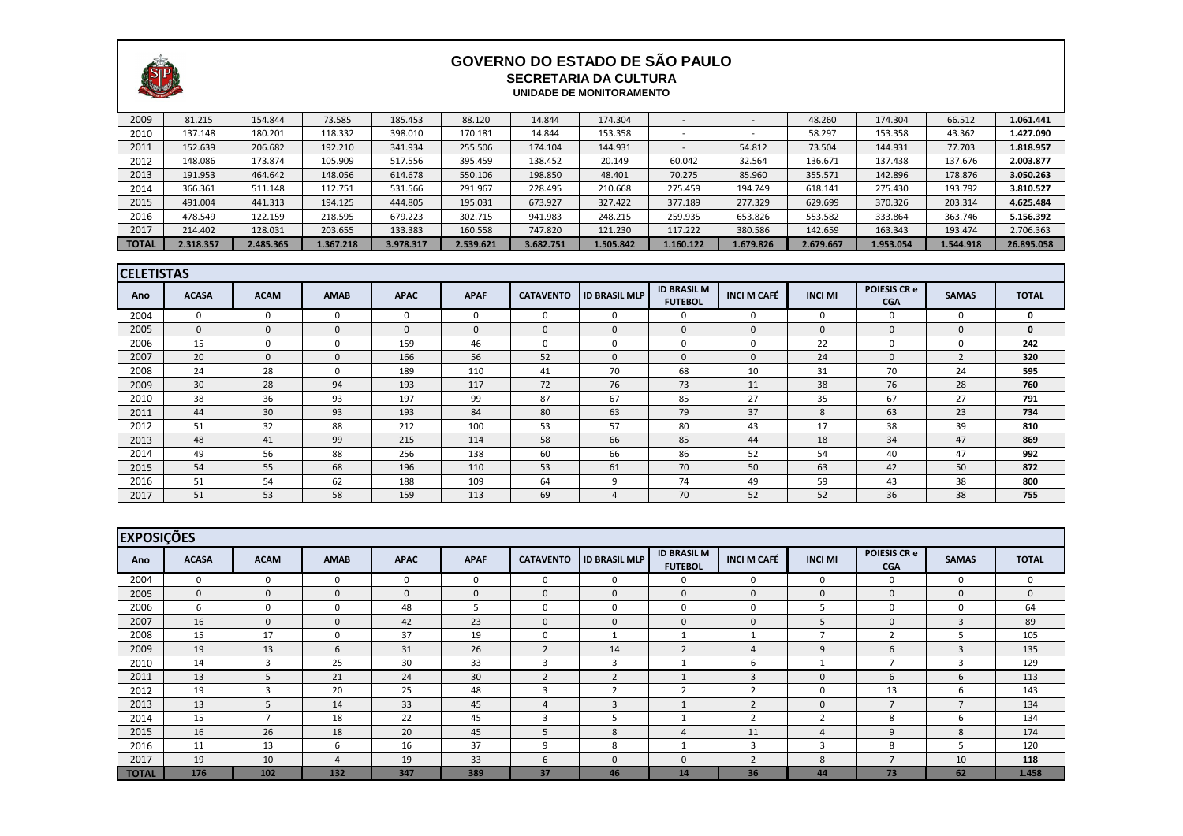

## **GOVERNO DO ESTADO DE SÃO PAULO SECRETARIA DA CULTURA UNIDADE DE MONITORAMENTO**

| $\sim$       |           |           |           |           |           |           |           |           |                          |           |           |           |            |
|--------------|-----------|-----------|-----------|-----------|-----------|-----------|-----------|-----------|--------------------------|-----------|-----------|-----------|------------|
| 2009         | 81.215    | 154.844   | 73.585    | 185.453   | 88.120    | 14.844    | 174.304   |           |                          | 48.260    | 174.304   | 66.512    | 1.061.441  |
| 2010         | 137.148   | 180.201   | 118.332   | 398.010   | 170.181   | 14.844    | 153.358   |           | $\overline{\phantom{0}}$ | 58.297    | 153.358   | 43.362    | 1.427.090  |
| 2011         | 152.639   | 206.682   | 192.210   | 341.934   | 255.506   | 174.104   | 144.931   |           | 54.812                   | 73.504    | 144.931   | 77.703    | 1.818.957  |
| 2012         | 148.086   | 173.874   | 105.909   | 517.556   | 395.459   | 138.452   | 20.149    | 60.042    | 32.564                   | 136.671   | 137.438   | 137.676   | 2.003.877  |
| 2013         | 191.953   | 464.642   | 148.056   | 614.678   | 550.106   | 198.850   | 48.401    | 70.275    | 85.960                   | 355.571   | 142.896   | 178.876   | 3.050.263  |
| 2014         | 366.361   | 511.148   | 112.751   | 531.566   | 291.967   | 228.495   | 210.668   | 275.459   | 194.749                  | 618.141   | 275.430   | 193.792   | 3.810.527  |
| 2015         | 491.004   | 441.313   | 194.125   | 444.805   | 195.031   | 673.927   | 327.422   | 377.189   | 277.329                  | 629.699   | 370.326   | 203.314   | 4.625.484  |
| 2016         | 478.549   | 122.159   | 218.595   | 679.223   | 302.715   | 941.983   | 248.215   | 259.935   | 653.826                  | 553.582   | 333.864   | 363.746   | 5.156.392  |
| 2017         | 214.402   | 128.031   | 203.655   | 133.383   | 160.558   | 747.820   | 121.230   | 117.222   | 380.586                  | 142.659   | 163.343   | 193.474   | 2.706.363  |
| <b>TOTAL</b> | 2.318.357 | 2.485.365 | 1.367.218 | 3.978.317 | 2.539.621 | 3.682.751 | 1.505.842 | 1.160.122 | 1.679.826                | 2.679.667 | 1.953.054 | 1.544.918 | 26.895.058 |

| <b>CELETISTAS</b> |              |             |              |             |             |                  |                      |                                      |                    |                |                                   |                |              |
|-------------------|--------------|-------------|--------------|-------------|-------------|------------------|----------------------|--------------------------------------|--------------------|----------------|-----------------------------------|----------------|--------------|
| Ano               | <b>ACASA</b> | <b>ACAM</b> | <b>AMAB</b>  | <b>APAC</b> | <b>APAF</b> | <b>CATAVENTO</b> | <b>ID BRASIL MLP</b> | <b>ID BRASIL M</b><br><b>FUTEBOL</b> | <b>INCI M CAFÉ</b> | <b>INCI MI</b> | <b>POIESIS CR e</b><br><b>CGA</b> | <b>SAMAS</b>   | <b>TOTAL</b> |
| 2004              | 0            | -0          | $\Omega$     |             | 0           | $\Omega$         | 0                    | 0                                    | 0                  | $\Omega$       |                                   | 0              | $\mathbf 0$  |
| 2005              | $\mathbf 0$  |             | $\Omega$     | $\Omega$    | $\Omega$    | $\mathbf{0}$     | 0                    | $\mathbf{0}$                         | $\mathbf 0$        | $\Omega$       | $\Omega$                          | $\mathbf 0$    | $\mathbf 0$  |
| 2006              | 15           | -0          |              | 159         | 46          | $\Omega$         | 0                    | 0                                    | $\mathbf{0}$       | 22             |                                   | $\Omega$       | 242          |
| 2007              | 20           | $\Omega$    | $\mathbf 0$  | 166         | 56          | 52               | $\Omega$             | $\Omega$                             | 0                  | 24             |                                   | $\overline{2}$ | 320          |
| 2008              | 24           | 28          | $\mathbf{0}$ | 189         | 110         | 41               | 70                   | 68                                   | 10                 | 31             | 70                                | 24             | 595          |
| 2009              | 30           | 28          | 94           | 193         | 117         | 72               | 76                   | 73                                   | 11                 | 38             | 76                                | 28             | 760          |
| 2010              | 38           | 36          | 93           | 197         | 99          | 87               | 67                   | 85                                   | 27                 | 35             | 67                                | 27             | 791          |
| 2011              | 44           | 30          | 93           | 193         | 84          | 80               | 63                   | 79                                   | 37                 | 8              | 63                                | 23             | 734          |
| 2012              | 51           | 32          | 88           | 212         | 100         | 53               | 57                   | 80                                   | 43                 | 17             | 38                                | 39             | 810          |
| 2013              | 48           | 41          | 99           | 215         | 114         | 58               | 66                   | 85                                   | 44                 | 18             | 34                                | 47             | 869          |
| 2014              | 49           | 56          | 88           | 256         | 138         | 60               | 66                   | 86                                   | 52                 | 54             | 40                                | 47             | 992          |
| 2015              | 54           | 55          | 68           | 196         | 110         | 53               | 61                   | 70                                   | 50                 | 63             | 42                                | 50             | 872          |
| 2016              | 51           | 54          | 62           | 188         | 109         | 64               | 9                    | 74                                   | 49                 | 59             | 43                                | 38             | 800          |
| 2017              | 51           | 53          | 58           | 159         | 113         | 69               | 4                    | 70                                   | 52                 | 52             | 36                                | 38             | 755          |

|              | <b>EXPOSIÇÕES</b> |             |             |             |             |                   |                      |                                      |                          |                |                                   |                |              |
|--------------|-------------------|-------------|-------------|-------------|-------------|-------------------|----------------------|--------------------------------------|--------------------------|----------------|-----------------------------------|----------------|--------------|
| Ano          | <b>ACASA</b>      | <b>ACAM</b> | <b>AMAB</b> | <b>APAC</b> | <b>APAF</b> | <b>CATAVENTO</b>  | <b>ID BRASIL MLP</b> | <b>ID BRASIL M</b><br><b>FUTEBOL</b> | <b>INCI M CAFÉ</b>       | <b>INCI MI</b> | <b>POIESIS CR e</b><br><b>CGA</b> | <b>SAMAS</b>   | <b>TOTAL</b> |
| 2004         | $\mathbf 0$       | 0           | 0           | 0           | 0           | $\Omega$          | $\Omega$             | 0                                    | 0                        | 0              | 0                                 | $\mathbf{0}$   | 0            |
| 2005         | $\mathbf 0$       | $\Omega$    | $\Omega$    | $\Omega$    | $\Omega$    | $\mathbf{0}$      | $\Omega$             | $\mathbf 0$                          | $\mathbf 0$              | $\mathbf 0$    | $\Omega$                          | $\mathbf{0}$   | $\mathbf 0$  |
| 2006         | 6                 | 0           | $\Omega$    | 48          | Ъ.          | $\Omega$          | $\mathbf{0}$         | 0                                    | 0                        | .5             | $\Omega$                          | $\Omega$       | 64           |
| 2007         | 16                | 0           | $\Omega$    | 42          | 23          | $\Omega$          | $\Omega$             | $\mathbf{0}$                         | $\Omega$                 | 5              | $\Omega$                          | 3              | 89           |
| 2008         | 15                | 17          | 0           | 37          | 19          | $\Omega$          |                      |                                      |                          | -              |                                   |                | 105          |
| 2009         | 19                | 13          | 6           | 31          | 26          | $\mathbf{\Omega}$ | 14                   | $\overline{2}$                       | 4                        | $\mathbf{q}$   | 6                                 | $\overline{3}$ | 135          |
| 2010         | 14                | 3           | 25          | 30          | 33          |                   | 3                    |                                      | b                        |                |                                   | 3              | 129          |
| 2011         | 13                |             | 21          | 24          | 30          |                   | <u>ว</u>             |                                      | 3                        | $\overline{0}$ | 6                                 | 6              | 113          |
| 2012         | 19                | 3           | 20          | 25          | 48          |                   |                      | 2                                    | h                        | $\mathbf 0$    | 13                                | <sub>b</sub>   | 143          |
| 2013         | 13                |             | 14          | 33          | 45          |                   | 3                    |                                      | $\overline{\phantom{a}}$ | $\mathbf 0$    |                                   | $\mathbf{z}$   | 134          |
| 2014         | 15                |             | 18          | 22          | 45          |                   |                      |                                      | 2                        | ົາ             | 8                                 | 6              | 134          |
| 2015         | 16                | 26          | 18          | 20          | 45          |                   | 8                    | $\Delta$                             | 11                       | $\Delta$       | q                                 | 8              | 174          |
| 2016         | 11                | 13          | 6           | 16          | 37          | 9                 | 8                    |                                      | 3                        | 3              | 8                                 |                | 120          |
| 2017         | 19                | 10          | 4           | 19          | 33          | b                 | $\mathbf{0}$         | $\mathbf 0$                          | $\overline{2}$           | 8              |                                   | 10             | 118          |
| <b>TOTAL</b> | 176               | 102         | 132         | 347         | 389         | 37                | 46                   | 14                                   | 36                       | 44             | 73                                | 62             | 1.458        |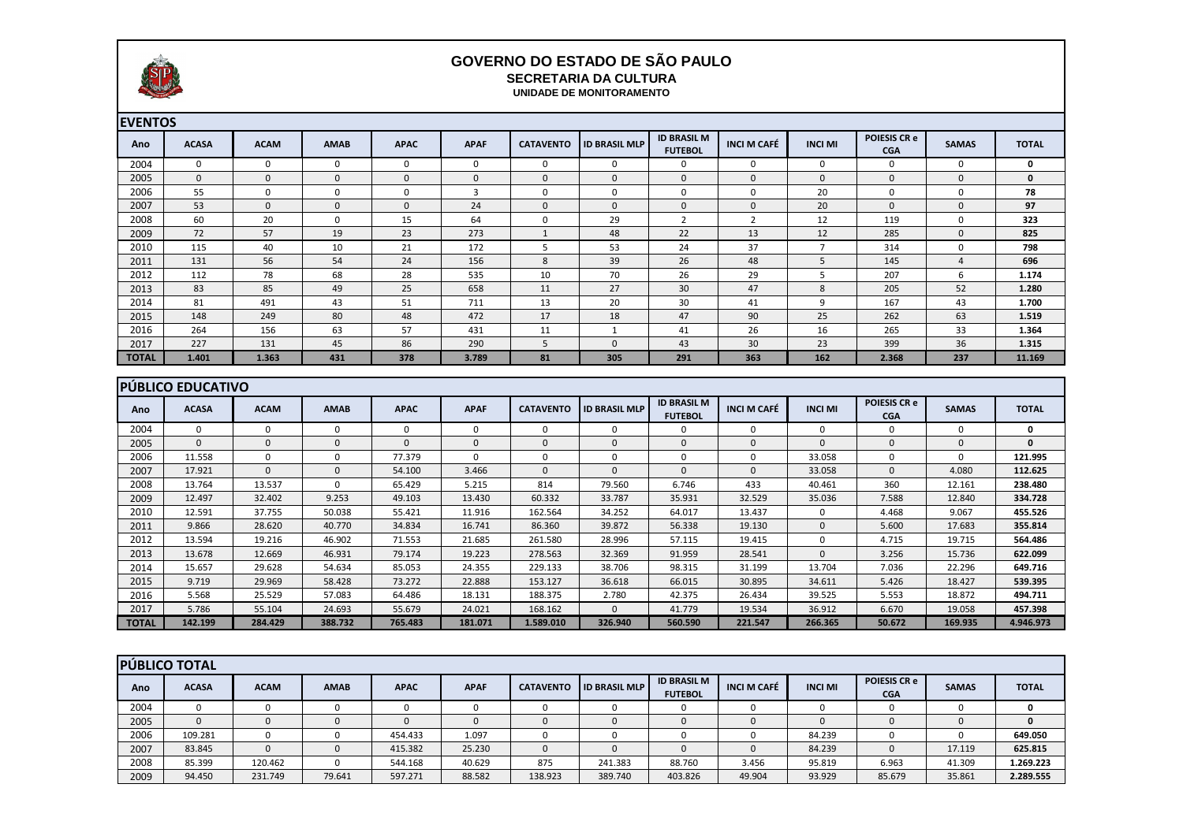

## **GOVERNO DO ESTADO DE SÃO PAULO SECRETARIA DA CULTURA**

| PRO SUSSITION CHAIN |              |             |             |              |             |                  | UNIDADE DE MONITORAMENTO |                                      |                    |                |                                   |                |              |
|---------------------|--------------|-------------|-------------|--------------|-------------|------------------|--------------------------|--------------------------------------|--------------------|----------------|-----------------------------------|----------------|--------------|
| <b>EVENTOS</b>      |              |             |             |              |             |                  |                          |                                      |                    |                |                                   |                |              |
| Ano                 | <b>ACASA</b> | <b>ACAM</b> | <b>AMAB</b> | <b>APAC</b>  | <b>APAF</b> | <b>CATAVENTO</b> | <b>ID BRASIL MLP</b>     | <b>ID BRASIL M</b><br><b>FUTEBOL</b> | <b>INCI M CAFÉ</b> | <b>INCI MI</b> | <b>POIESIS CR e</b><br><b>CGA</b> | <b>SAMAS</b>   | <b>TOTAL</b> |
| 2004                | $\mathbf 0$  | 0           | 0           | $\mathbf 0$  | 0           | 0                | $\mathbf 0$              | $\mathbf 0$                          | 0                  | 0              | 0                                 | 0              | $\mathbf 0$  |
| 2005                | $\mathbf 0$  | $\mathbf 0$ | $\mathbf 0$ | $\mathbf{0}$ | $\mathbf 0$ | $\Omega$         | $\mathbf 0$              | $\mathbf 0$                          | $\mathbf 0$        | $\mathbf{0}$   | $\mathbf{0}$                      | $\mathbf 0$    | $\mathbf 0$  |
| 2006                | 55           | $\mathbf 0$ | 0           | 0            | 3           | $\mathbf 0$      | 0                        | $\mathbf 0$                          | $\mathbf 0$        | 20             | $\mathbf 0$                       | 0              | 78           |
| 2007                | 53           | $\mathbf 0$ | $\mathbf 0$ | $\mathbf 0$  | 24          | $\mathbf 0$      | $\mathbf 0$              | $\mathbf 0$                          | $\mathbf 0$        | 20             | $\mathbf{0}$                      | $\mathbf 0$    | 97           |
| 2008                | 60           | 20          | 0           | 15           | 64          | 0                | 29                       | $\overline{2}$                       | 2                  | 12             | 119                               | 0              | 323          |
| 2009                | 72           | 57          | 19          | 23           | 273         |                  | 48                       | 22                                   | 13                 | 12             | 285                               | $\mathbf 0$    | 825          |
| 2010                | 115          | 40          | 10          | 21           | 172         | 5                | 53                       | 24                                   | 37                 | $\overline{7}$ | 314                               | 0              | 798          |
| 2011                | 131          | 56          | 54          | 24           | 156         | 8                | 39                       | 26                                   | 48                 | 5              | 145                               | $\overline{4}$ | 696          |
| 2012                | 112          | 78          | 68          | 28           | 535         | 10               | 70                       | 26                                   | 29                 | .5             | 207                               | 6              | 1.174        |
| 2013                | 83           | 85          | 49          | 25           | 658         | 11               | 27                       | 30 <sup>°</sup>                      | 47                 | 8              | 205                               | 52             | 1.280        |
| 2014                | 81           | 491         | 43          | 51           | 711         | 13               | 20                       | 30                                   | 41                 | 9              | 167                               | 43             | 1.700        |
| 2015                | 148          | 249         | 80          | 48           | 472         | 17               | 18                       | 47                                   | 90                 | 25             | 262                               | 63             | 1.519        |
| 2016                | 264          | 156         | 63          | 57           | 431         | 11               |                          | 41                                   | 26                 | 16             | 265                               | 33             | 1.364        |
| 2017                | 227          | 131         | 45          | 86           | 290         | 5                | $\mathbf 0$              | 43                                   | 30                 | 23             | 399                               | 36             | 1.315        |
| <b>TOTAL</b>        | 1.401        | 1.363       | 431         | 378          | 3.789       | 81               | 305                      | 291                                  | 363                | 162            | 2.368                             | 237            | 11.169       |

|              | <b>IPÚBLICO EDUCATIVO</b> |             |             |             |             |                  |                      |                                      |                    |                |                                   |              |              |
|--------------|---------------------------|-------------|-------------|-------------|-------------|------------------|----------------------|--------------------------------------|--------------------|----------------|-----------------------------------|--------------|--------------|
| Ano          | <b>ACASA</b>              | <b>ACAM</b> | <b>AMAB</b> | <b>APAC</b> | <b>APAF</b> | <b>CATAVENTO</b> | <b>ID BRASIL MLP</b> | <b>ID BRASIL M</b><br><b>FUTEBOL</b> | <b>INCI M CAFÉ</b> | <b>INCI MI</b> | <b>POIESIS CR e</b><br><b>CGA</b> | <b>SAMAS</b> | <b>TOTAL</b> |
| 2004         | 0                         |             | 0           |             | $\Omega$    |                  | $\Omega$             | 0                                    | 0                  | 0              | 0                                 |              | 0            |
| 2005         | 0                         | 0           | 0           | O           | $\Omega$    |                  | $\Omega$             | $\mathbf{0}$                         | 0                  | 0              | $\Omega$                          | $\Omega$     | $\mathbf{0}$ |
| 2006         | 11.558                    |             | 0           | 77.379      |             |                  | 0                    | 0                                    | 0                  | 33.058         | $\Omega$                          |              | 121.995      |
| 2007         | 17.921                    |             | 0           | 54.100      | 3.466       | $\Omega$         | $\Omega$             | $\mathbf{0}$                         | 0                  | 33.058         | $\Omega$                          | 4.080        | 112.625      |
| 2008         | 13.764                    | 13.537      | 0           | 65.429      | 5.215       | 814              | 79.560               | 6.746                                | 433                | 40.461         | 360                               | 12.161       | 238.480      |
| 2009         | 12.497                    | 32.402      | 9.253       | 49.103      | 13.430      | 60.332           | 33.787               | 35.931                               | 32.529             | 35.036         | 7.588                             | 12.840       | 334.728      |
| 2010         | 12.591                    | 37.755      | 50.038      | 55.421      | 11.916      | 162.564          | 34.252               | 64.017                               | 13.437             | 0              | 4.468                             | 9.067        | 455.526      |
| 2011         | 9.866                     | 28.620      | 40.770      | 34.834      | 16.741      | 86.360           | 39.872               | 56.338                               | 19.130             | $\Omega$       | 5.600                             | 17.683       | 355.814      |
| 2012         | 13.594                    | 19.216      | 46.902      | 71.553      | 21.685      | 261.580          | 28.996               | 57.115                               | 19.415             | 0              | 4.715                             | 19.715       | 564.486      |
| 2013         | 13.678                    | 12.669      | 46.931      | 79.174      | 19.223      | 278.563          | 32.369               | 91.959                               | 28.541             | $\Omega$       | 3.256                             | 15.736       | 622.099      |
| 2014         | 15.657                    | 29.628      | 54.634      | 85.053      | 24.355      | 229.133          | 38.706               | 98.315                               | 31.199             | 13.704         | 7.036                             | 22.296       | 649.716      |
| 2015         | 9.719                     | 29.969      | 58.428      | 73.272      | 22.888      | 153.127          | 36.618               | 66.015                               | 30.895             | 34.611         | 5.426                             | 18.427       | 539.395      |
| 2016         | 5.568                     | 25.529      | 57.083      | 64.486      | 18.131      | 188.375          | 2.780                | 42.375                               | 26.434             | 39.525         | 5.553                             | 18.872       | 494.711      |
| 2017         | 5.786                     | 55.104      | 24.693      | 55.679      | 24.021      | 168.162          | $\Omega$             | 41.779                               | 19.534             | 36.912         | 6.670                             | 19.058       | 457.398      |
| <b>TOTAL</b> | 142.199                   | 284.429     | 388.732     | 765.483     | 181.071     | 1.589.010        | 326.940              | 560.590                              | 221.547            | 266.365        | 50.672                            | 169.935      | 4.946.973    |

|      | <b>PÚBLICO TOTAL</b> |             |             |             |             |                  |                      |                                      |                    |                |                                   |              |              |
|------|----------------------|-------------|-------------|-------------|-------------|------------------|----------------------|--------------------------------------|--------------------|----------------|-----------------------------------|--------------|--------------|
| Ano  | <b>ACASA</b>         | <b>ACAM</b> | <b>AMAB</b> | <b>APAC</b> | <b>APAF</b> | <b>CATAVENTO</b> | <b>ID BRASIL MLP</b> | <b>ID BRASIL M</b><br><b>FUTEBOL</b> | <b>INCI M CAFÉ</b> | <b>INCI MI</b> | <b>POIESIS CR e</b><br><b>CGA</b> | <b>SAMAS</b> | <b>TOTAL</b> |
| 2004 |                      |             |             |             |             |                  |                      |                                      |                    |                |                                   |              |              |
| 2005 | 0                    |             |             |             |             |                  |                      |                                      |                    |                |                                   |              |              |
| 2006 | 109.281              |             |             | 454.433     | 1.097       |                  |                      |                                      |                    | 84.239         |                                   |              | 649.050      |
| 2007 | 83.845               |             |             | 415.382     | 25.230      |                  |                      |                                      |                    | 84.239         |                                   | 17.119       | 625.815      |
| 2008 | 85.399               | 120.462     |             | 544.168     | 40.629      | 875              | 241.383              | 88.760                               | 3.456              | 95.819         | 6.963                             | 41.309       | 1.269.223    |
| 2009 | 94.450               | 231.749     | 79.641      | 597.271     | 88.582      | 138.923          | 389.740              | 403.826                              | 49.904             | 93.929         | 85.679                            | 35.861       | 2.289.555    |